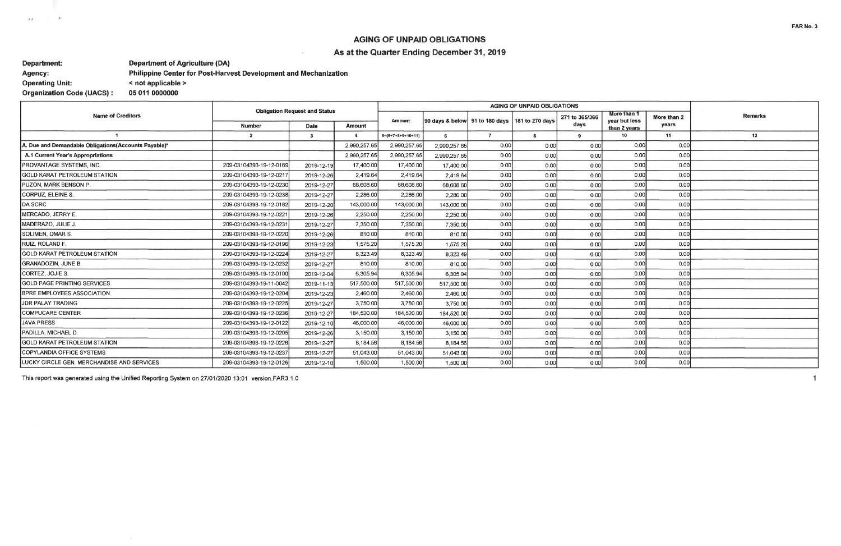## **AGING OF UNPAID OBLIGATIONS** As at the Quarter Ending December 31, 2019

#### **Department: Department of Agriculture (DA)** Philippine Center for Post-Harvest Development and Mechanization Agency: < not applicable > **Operating Unit: Organization Code (UACS):** 05 011 0000000

 $\mu$   $\mu$ 

 $\mathcal{N}=\mathcal{N}$ 

| <b>Name of Creditors</b>                             | <b>Obligation Request and Status</b> |             |              |                     |                                                  |                |      |                        |                                              |                      |                |
|------------------------------------------------------|--------------------------------------|-------------|--------------|---------------------|--------------------------------------------------|----------------|------|------------------------|----------------------------------------------|----------------------|----------------|
|                                                      | Number                               | <b>Date</b> | Amount       | Amount              | 90 days & below 91 to 180 days   181 to 270 days |                |      | 271 to 365/366<br>days | More than 1<br>vear but less<br>than 2 years | More than 2<br>years | <b>Remarks</b> |
|                                                      | $\overline{2}$                       | 3           | $\mathbf{A}$ | $5=(6+7+8+9+10+11)$ |                                                  | $\overline{7}$ |      | 9                      | 10                                           | 11                   | 12             |
| A. Due and Demandable Obligations(Accounts Payable)* |                                      |             | 2,990,257.65 | 2,990,257.65        | 2.990.257.65                                     | 0.00           | 0.00 | 0.00                   | 0.00                                         | 0.00                 |                |
| A.1 Current Year's Appropriations                    |                                      |             | 2,990,257.65 | 2.990.257.65        | 2,990,257.65                                     | 0.00           | 0.00 | 0.00                   | 0.00                                         | 0.00                 |                |
| <b>PROVANTAGE SYSTEMS, INC.</b>                      | 209-03104393-19-12-0169              | 2019-12-19  | 17,400.00    | 17,400.00           | 17,400.00                                        | 0.00           | 0.00 | 0.00                   | 0.00                                         | 0.00                 |                |
| <b>GOLD KARAT PETROLEUM STATION</b>                  | 209-03104393-19-12-0217              | 2019-12-26  | 2,419.64     | 2,419.64            | 2,419.64                                         | 0.00           | 0.00 | 0.00                   | 0.00                                         | 0.00                 |                |
| PUZON, MARK BENSON P.                                | 209-03104393-19-12-0230              | 2019-12-27  | 68,608.60    | 68,608.60           | 68,608.60                                        | 0.00           | 0.00 | 0.00                   | 0.00                                         | 0.00                 |                |
| CORPUZ, ELEINE S.                                    | 209-03104393-19-12-0238              | 2019-12-27  | 2,286.00     | 2,286.00            | 2,286.00                                         | 0.00           | 0.00 | 0.00                   | 0.00                                         | 0.00                 |                |
| DA SCRC                                              | 209-03104393-19-12-0182              | 2019-12-20  | 143,000.00   | 143,000.00          | 143,000.00                                       | 0.00           | 0.00 | 0.00                   | 0.00                                         | 0.00                 |                |
| MERCADO, JERRY E.                                    | 209-03104393-19-12-0221              | 2019-12-26  | 2,250.00     | 2,250.00            | 2,250.00                                         | 0.00           | 0.00 | 0.00                   | 0.00                                         | 0.00                 |                |
| MADERAZO, JULIE J                                    | 209-03104393-19-12-0231              | 2019-12-27  | 7,350.00     | 7,350.00            | 7,350.00                                         | 0.00           | 0.00 | 0.00                   | 0.00                                         | 0.00                 |                |
| <b>SOLIMEN, OMAR S.</b>                              | 209-03104393-19-12-0220              | 2019-12-26  | 810.00       | 810.00              | 810.00                                           | 0.00           | 0.00 | 0.00                   | 0.00                                         | 0.00                 |                |
| RUIZ, ROLAND F.                                      | 209-03104393-19-12-0196              | 2019-12-23  | 1,575.20     | 1,575,20            | 1,575.20                                         | 0.00           | 0.00 | 0.00                   | 0.00                                         | 0.00                 |                |
| <b>GOLD KARAT PETROLEUM STATION</b>                  | 209-03104393-19-12-0224              | 2019-12-27  | 8,323,49     | 8,323,49            | 8,323.49                                         | 0.00           | 0.00 | 0.00                   | 0.00                                         | 0.00                 |                |
| <b>GRANADOZIN, JUNE B.</b>                           | 209-03104393-19-12-0232              | 2019-12-27  | 810.00       | 810.00              | 810.00                                           | 0.00           | 0.00 | 0.00                   | 0.00                                         | 0.00                 |                |
| CORTEZ, JOJIE S.                                     | 209-03104393-19-12-0100              | 2019-12-04  | 6,305.94     | 6,305.94            | 6.305.94                                         | 0.00           | 0.00 | 0.00                   | 0.00                                         | 0.00                 |                |
| <b>GOLD PAGE PRINTING SERVICES</b>                   | 209-03104393-19-11-0042              | 2019-11-13  | 517,500.00   | 517,500.00          | 517,500.00                                       | 0.00           | 0.00 | 0.00                   | 0.00                                         | 0.00                 |                |
| <b>BPRE EMPLOYEES ASSOCIATION</b>                    | 209-03104393-19-12-0204              | 2019-12-23  | 2,460.00     | 2,460.00            | 2,460.00                                         | 0.00           | 0.00 | 0.00                   | 0.00                                         | 0.00                 |                |
| <b>JDR PALAY TRADING</b>                             | 209-03104393-19-12-0225              | 2019-12-27  | 3,750.00     | 3,750.00            | 3,750.00                                         | 0.00           | 0.00 | 0.00                   | 0.00                                         | 0.00                 |                |
| <b>COMPUCARE CENTER</b>                              | 209-03104393-19-12-0236              | 2019-12-27  | 184,520.00   | 184,520.00          | 184,520.00                                       | 0.00           | 0.00 | 0.00                   | 0.00                                         | 0.00                 |                |
| <b>JAVA PRESS</b>                                    | 209-03104393-19-12-0122              | 2019-12-10  | 46,000.00    | 46,000.00           | 46,000.00                                        | 0.00           | 0.00 | 0.00                   | 0.00                                         | 0.00                 |                |
| PADILLA, MICHAEL D.                                  | 209-03104393-19-12-0205              | 2019-12-26  | 3,150.00     | 3,150.00            | 3,150.00                                         | 0.00           | 0.00 | 0.00                   | 0.00                                         | 0.00                 |                |
| <b>GOLD KARAT PETROLEUM STATION</b>                  | 209-03104393-19-12-0226              | 2019-12-27  | 8,184.56     | 8,184.56            | 8,184.56                                         | 0.00           | 0.00 | 0.00                   | 0.00                                         | 0.00                 |                |
| COPYLANDIA OFFICE SYSTEMS                            | 209-03104393-19-12-0237              | 2019-12-27  | 51,043.00    | 51,043.00           | 51,043.00                                        | 0.00           | 0.00 | 0.00                   | 0.00                                         | 0.00                 |                |
| LUCKY CIRCLE GEN. MERCHANDISE AND SERVICES           | 209-03104393-19-12-0126              | 2019-12-10  | 1,500.00     | 1,500.00            | 1,500.00                                         | 0.00           | 0.00 | 0.00                   | 0.00                                         | 0.00                 |                |

This report was generated using the Unified Reporting System on 27/01/2020 13:01 version.FAR3.1.0

 $\mathbf{1}$